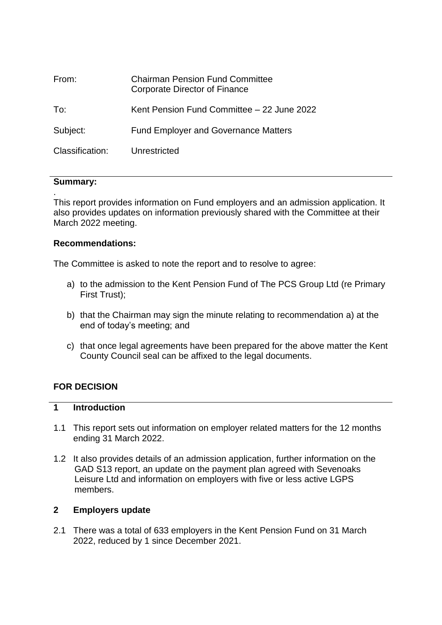| From:           | <b>Chairman Pension Fund Committee</b><br>Corporate Director of Finance |
|-----------------|-------------------------------------------------------------------------|
| To:             | Kent Pension Fund Committee – 22 June 2022                              |
| Subject:        | <b>Fund Employer and Governance Matters</b>                             |
| Classification: | Unrestricted                                                            |

### **Summary:**

.

This report provides information on Fund employers and an admission application. It also provides updates on information previously shared with the Committee at their March 2022 meeting.

### **Recommendations:**

The Committee is asked to note the report and to resolve to agree:

- a) to the admission to the Kent Pension Fund of The PCS Group Ltd (re Primary First Trust);
- b) that the Chairman may sign the minute relating to recommendation a) at the end of today's meeting; and
- c) that once legal agreements have been prepared for the above matter the Kent County Council seal can be affixed to the legal documents.

### **FOR DECISION**

### **1 Introduction**

- 1.1 This report sets out information on employer related matters for the 12 months ending 31 March 2022.
- 1.2 It also provides details of an admission application, further information on the GAD S13 report, an update on the payment plan agreed with Sevenoaks Leisure Ltd and information on employers with five or less active LGPS members.

### **2 Employers update**

2.1 There was a total of 633 employers in the Kent Pension Fund on 31 March 2022, reduced by 1 since December 2021.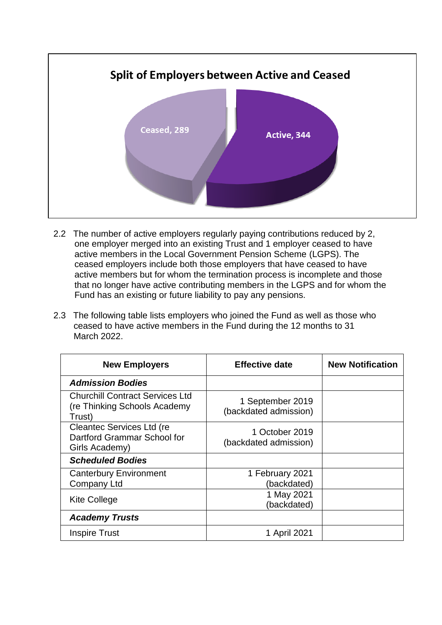

- 2.2 The number of active employers regularly paying contributions reduced by 2, one employer merged into an existing Trust and 1 employer ceased to have active members in the Local Government Pension Scheme (LGPS). The ceased employers include both those employers that have ceased to have active members but for whom the termination process is incomplete and those that no longer have active contributing members in the LGPS and for whom the Fund has an existing or future liability to pay any pensions.
- 2.3 The following table lists employers who joined the Fund as well as those who ceased to have active members in the Fund during the 12 months to 31 March 2022.

| <b>New Employers</b>                                                              | <b>Effective date</b>                     | <b>New Notification</b> |
|-----------------------------------------------------------------------------------|-------------------------------------------|-------------------------|
| <b>Admission Bodies</b>                                                           |                                           |                         |
| <b>Churchill Contract Services Ltd</b><br>(re Thinking Schools Academy)<br>Trust) | 1 September 2019<br>(backdated admission) |                         |
| <b>Cleantec Services Ltd (re</b><br>Dartford Grammar School for<br>Girls Academy) | 1 October 2019<br>(backdated admission)   |                         |
| <b>Scheduled Bodies</b>                                                           |                                           |                         |
| <b>Canterbury Environment</b><br>Company Ltd                                      | 1 February 2021<br>(backdated)            |                         |
| <b>Kite College</b>                                                               | 1 May 2021<br>(backdated)                 |                         |
| <b>Academy Trusts</b>                                                             |                                           |                         |
| <b>Inspire Trust</b>                                                              | 1 April 2021                              |                         |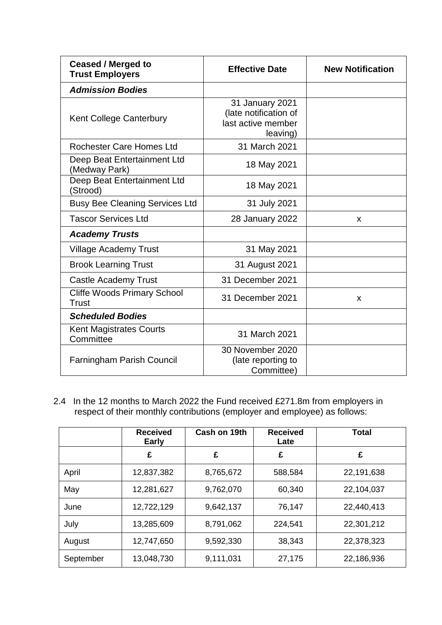| <b>Ceased / Merged to</b><br><b>Trust Employers</b> | <b>Effective Date</b>                                                      | <b>New Notification</b> |
|-----------------------------------------------------|----------------------------------------------------------------------------|-------------------------|
| <b>Admission Bodies</b>                             |                                                                            |                         |
| Kent College Canterbury                             | 31 January 2021<br>(late notification of<br>last active member<br>leaving) |                         |
| <b>Rochester Care Homes Ltd</b>                     | 31 March 2021                                                              |                         |
| Deep Beat Entertainment Ltd<br>(Medway Park)        | 18 May 2021                                                                |                         |
| Deep Beat Entertainment Ltd<br>(Strood)             | 18 May 2021                                                                |                         |
| <b>Busy Bee Cleaning Services Ltd</b>               | 31 July 2021                                                               |                         |
| <b>Tascor Services Ltd</b>                          | 28 January 2022                                                            | X                       |
| <b>Academy Trusts</b>                               |                                                                            |                         |
| <b>Village Academy Trust</b>                        | 31 May 2021                                                                |                         |
| <b>Brook Learning Trust</b>                         | 31 August 2021                                                             |                         |
| <b>Castle Academy Trust</b>                         | 31 December 2021                                                           |                         |
| <b>Cliffe Woods Primary School</b><br>Trust         | 31 December 2021                                                           | X                       |
| <b>Scheduled Bodies</b>                             |                                                                            |                         |
| <b>Kent Magistrates Courts</b><br>Committee         | 31 March 2021                                                              |                         |
| <b>Farningham Parish Council</b>                    | 30 November 2020<br>(late reporting to<br>Committee)                       |                         |

2.4 In the 12 months to March 2022 the Fund received £271.8m from employers in respect of their monthly contributions (employer and employee) as follows:

|           | <b>Received</b><br><b>Early</b> | Cash on 19th | <b>Received</b><br>Late | Total      |
|-----------|---------------------------------|--------------|-------------------------|------------|
|           | £                               | £            | £                       | £          |
| April     | 12,837,382                      | 8,765,672    | 588,584                 | 22,191,638 |
| May       | 12,281,627                      | 9,762,070    | 60,340                  | 22,104,037 |
| June      | 12,722,129                      | 9,642,137    | 76,147                  | 22,440,413 |
| July      | 13,285,609                      | 8,791,062    | 224,541                 | 22,301,212 |
| August    | 12,747,650                      | 9,592,330    | 38,343                  | 22,378,323 |
| September | 13,048,730                      | 9,111,031    | 27,175                  | 22,186,936 |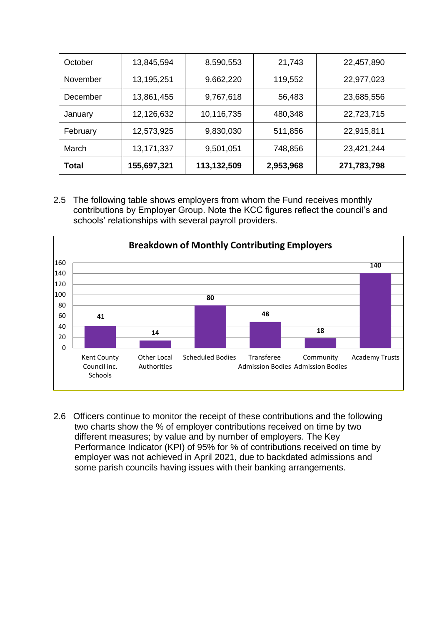| October  | 13,845,594   | 8,590,553   | 21,743    | 22,457,890  |
|----------|--------------|-------------|-----------|-------------|
| November | 13,195,251   | 9,662,220   | 119,552   | 22,977,023  |
| December | 13,861,455   | 9,767,618   | 56,483    | 23,685,556  |
| January  | 12,126,632   | 10,116,735  | 480,348   | 22,723,715  |
| February | 12,573,925   | 9,830,030   | 511,856   | 22,915,811  |
| March    | 13, 171, 337 | 9,501,051   | 748,856   | 23,421,244  |
| Total    | 155,697,321  | 113,132,509 | 2,953,968 | 271,783,798 |

2.5 The following table shows employers from whom the Fund receives monthly contributions by Employer Group. Note the KCC figures reflect the council's and schools' relationships with several payroll providers.



2.6 Officers continue to monitor the receipt of these contributions and the following two charts show the % of employer contributions received on time by two different measures; by value and by number of employers. The Key Performance Indicator (KPI) of 95% for % of contributions received on time by employer was not achieved in April 2021, due to backdated admissions and some parish councils having issues with their banking arrangements.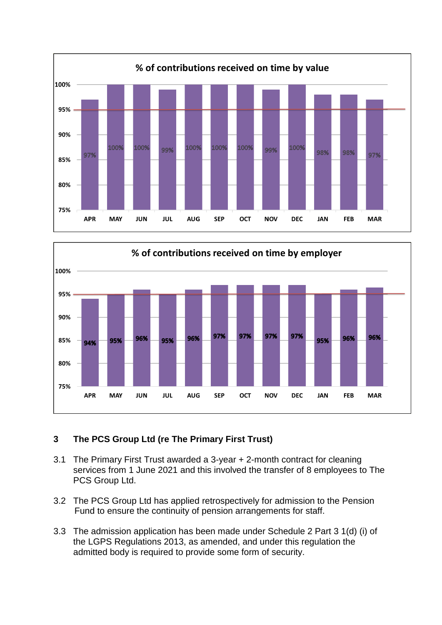



# **3 The PCS Group Ltd (re The Primary First Trust)**

- 3.1 The Primary First Trust awarded a 3-year + 2-month contract for cleaning services from 1 June 2021 and this involved the transfer of 8 employees to The PCS Group Ltd.
- 3.2 The PCS Group Ltd has applied retrospectively for admission to the Pension Fund to ensure the continuity of pension arrangements for staff.
- 3.3 The admission application has been made under Schedule 2 Part 3 1(d) (i) of the LGPS Regulations 2013, as amended, and under this regulation the admitted body is required to provide some form of security.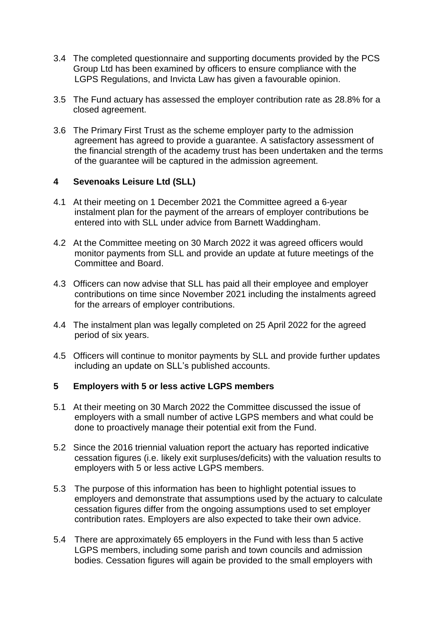- 3.4 The completed questionnaire and supporting documents provided by the PCS Group Ltd has been examined by officers to ensure compliance with the LGPS Regulations, and Invicta Law has given a favourable opinion.
- 3.5 The Fund actuary has assessed the employer contribution rate as 28.8% for a closed agreement.
- 3.6 The Primary First Trust as the scheme employer party to the admission agreement has agreed to provide a guarantee. A satisfactory assessment of the financial strength of the academy trust has been undertaken and the terms of the guarantee will be captured in the admission agreement.

## **4 Sevenoaks Leisure Ltd (SLL)**

- 4.1 At their meeting on 1 December 2021 the Committee agreed a 6-year instalment plan for the payment of the arrears of employer contributions be entered into with SLL under advice from Barnett Waddingham.
- 4.2 At the Committee meeting on 30 March 2022 it was agreed officers would monitor payments from SLL and provide an update at future meetings of the Committee and Board.
- 4.3 Officers can now advise that SLL has paid all their employee and employer contributions on time since November 2021 including the instalments agreed for the arrears of employer contributions.
- 4.4 The instalment plan was legally completed on 25 April 2022 for the agreed period of six years.
- 4.5 Officers will continue to monitor payments by SLL and provide further updates including an update on SLL's published accounts.

## **5 Employers with 5 or less active LGPS members**

- 5.1 At their meeting on 30 March 2022 the Committee discussed the issue of employers with a small number of active LGPS members and what could be done to proactively manage their potential exit from the Fund.
- 5.2 Since the 2016 triennial valuation report the actuary has reported indicative cessation figures (i.e. likely exit surpluses/deficits) with the valuation results to employers with 5 or less active LGPS members.
- 5.3 The purpose of this information has been to highlight potential issues to employers and demonstrate that assumptions used by the actuary to calculate cessation figures differ from the ongoing assumptions used to set employer contribution rates. Employers are also expected to take their own advice.
- 5.4 There are approximately 65 employers in the Fund with less than 5 active LGPS members, including some parish and town councils and admission bodies. Cessation figures will again be provided to the small employers with